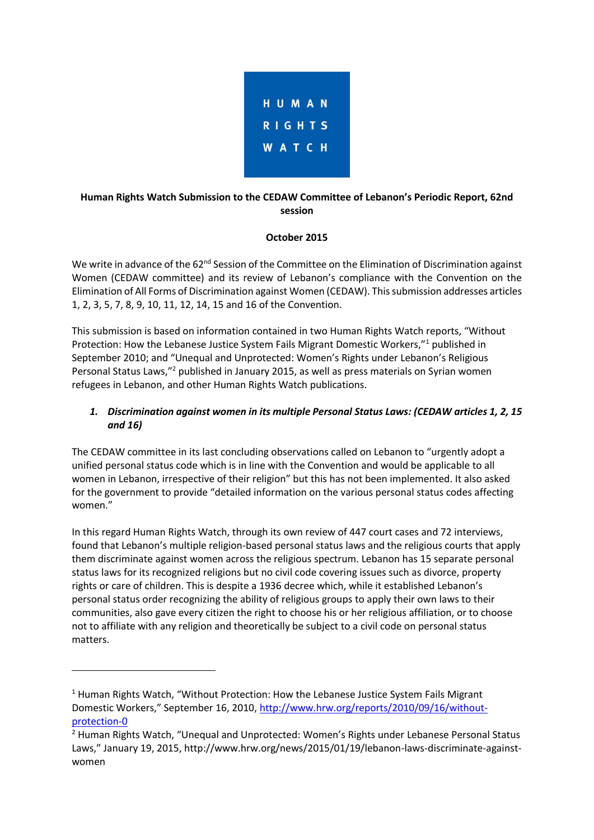

## **Human Rights Watch Submission to the CEDAW Committee of Lebanon's Periodic Report, 62nd session**

### **October 2015**

We write in advance of the 62<sup>nd</sup> Session of the Committee on the Elimination of Discrimination against Women (CEDAW committee) and its review of Lebanon's compliance with the Convention on the Elimination of All Forms of Discrimination against Women (CEDAW). This submission addresses articles 1, 2, 3, 5, 7, 8, 9, 10, 11, 12, 14, 15 and 16 of the Convention.

This submission is based on information contained in two Human Rights Watch reports, "Without Protection: How the Lebanese Justice System Fails Migrant Domestic Workers,"<sup>1</sup> published in September 2010; and "Unequal and Unprotected: Women's Rights under Lebanon's Religious Personal Status Laws,"<sup>2</sup> published in January 2015, as well as press materials on Syrian women refugees in Lebanon, and other Human Rights Watch publications.

# *1. Discrimination against women in its multiple Personal Status Laws: (CEDAW articles 1, 2, 15 and 16)*

The CEDAW committee in its last concluding observations called on Lebanon to "urgently adopt a unified personal status code which is in line with the Convention and would be applicable to all women in Lebanon, irrespective of their religion" but this has not been implemented. It also asked for the government to provide "detailed information on the various personal status codes affecting women."

In this regard Human Rights Watch, through its own review of 447 court cases and 72 interviews, found that Lebanon's multiple religion-based personal status laws and the religious courts that apply them discriminate against women across the religious spectrum. Lebanon has 15 separate personal status laws for its recognized religions but no civil code covering issues such as divorce, property rights or care of children. This is despite a 1936 decree which, while it established Lebanon's personal status order recognizing the ability of religious groups to apply their own laws to their communities, also gave every citizen the right to choose his or her religious affiliation, or to choose not to affiliate with any religion and theoretically be subject to a civil code on personal status matters.

**.** 

 $1$  Human Rights Watch. "Without Protection: How the Lebanese Justice System Fails Migrant Domestic Workers," September 16, 2010, [http://www.hrw.org/reports/2010/09/16/without](http://www.hrw.org/reports/2010/09/16/without-protection-0)[protection-0](http://www.hrw.org/reports/2010/09/16/without-protection-0)

<sup>&</sup>lt;sup>2</sup> Human Rights Watch, "Unequal and Unprotected: Women's Rights under Lebanese Personal Status Laws," January 19, 2015, http://www.hrw.org/news/2015/01/19/lebanon-laws-discriminate-againstwomen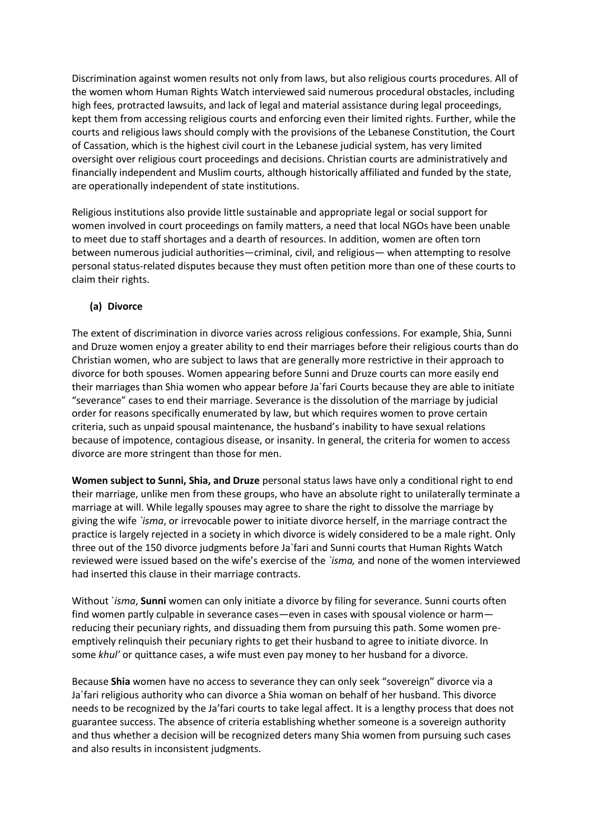Discrimination against women results not only from laws, but also religious courts procedures. All of the women whom Human Rights Watch interviewed said numerous procedural obstacles, including high fees, protracted lawsuits, and lack of legal and material assistance during legal proceedings, kept them from accessing religious courts and enforcing even their limited rights. Further, while the courts and religious laws should comply with the provisions of the Lebanese Constitution, the Court of Cassation, which is the highest civil court in the Lebanese judicial system, has very limited oversight over religious court proceedings and decisions. Christian courts are administratively and financially independent and Muslim courts, although historically affiliated and funded by the state, are operationally independent of state institutions.

Religious institutions also provide little sustainable and appropriate legal or social support for women involved in court proceedings on family matters, a need that local NGOs have been unable to meet due to staff shortages and a dearth of resources. In addition, women are often torn between numerous judicial authorities—criminal, civil, and religious— when attempting to resolve personal status-related disputes because they must often petition more than one of these courts to claim their rights.

#### **(a) Divorce**

The extent of discrimination in divorce varies across religious confessions. For example, Shia, Sunni and Druze women enjoy a greater ability to end their marriages before their religious courts than do Christian women, who are subject to laws that are generally more restrictive in their approach to divorce for both spouses. Women appearing before Sunni and Druze courts can more easily end their marriages than Shia women who appear before Ja`fari Courts because they are able to initiate "severance" cases to end their marriage. Severance is the dissolution of the marriage by judicial order for reasons specifically enumerated by law, but which requires women to prove certain criteria, such as unpaid spousal maintenance, the husband's inability to have sexual relations because of impotence, contagious disease, or insanity. In general, the criteria for women to access divorce are more stringent than those for men.

**Women subject to Sunni, Shia, and Druze** personal status laws have only a conditional right to end their marriage, unlike men from these groups, who have an absolute right to unilaterally terminate a marriage at will. While legally spouses may agree to share the right to dissolve the marriage by giving the wife *`isma*, or irrevocable power to initiate divorce herself, in the marriage contract the practice is largely rejected in a society in which divorce is widely considered to be a male right. Only three out of the 150 divorce judgments before Ja`fari and Sunni courts that Human Rights Watch reviewed were issued based on the wife's exercise of the *`isma,* and none of the women interviewed had inserted this clause in their marriage contracts.

Without `*isma*, **Sunni** women can only initiate a divorce by filing for severance. Sunni courts often find women partly culpable in severance cases—even in cases with spousal violence or harm reducing their pecuniary rights, and dissuading them from pursuing this path. Some women preemptively relinquish their pecuniary rights to get their husband to agree to initiate divorce. In some *khul'* or quittance cases, a wife must even pay money to her husband for a divorce.

Because **Shia** women have no access to severance they can only seek "sovereign" divorce via a Ja`fari religious authority who can divorce a Shia woman on behalf of her husband. This divorce needs to be recognized by the Ja'fari courts to take legal affect. It is a lengthy process that does not guarantee success. The absence of criteria establishing whether someone is a sovereign authority and thus whether a decision will be recognized deters many Shia women from pursuing such cases and also results in inconsistent judgments.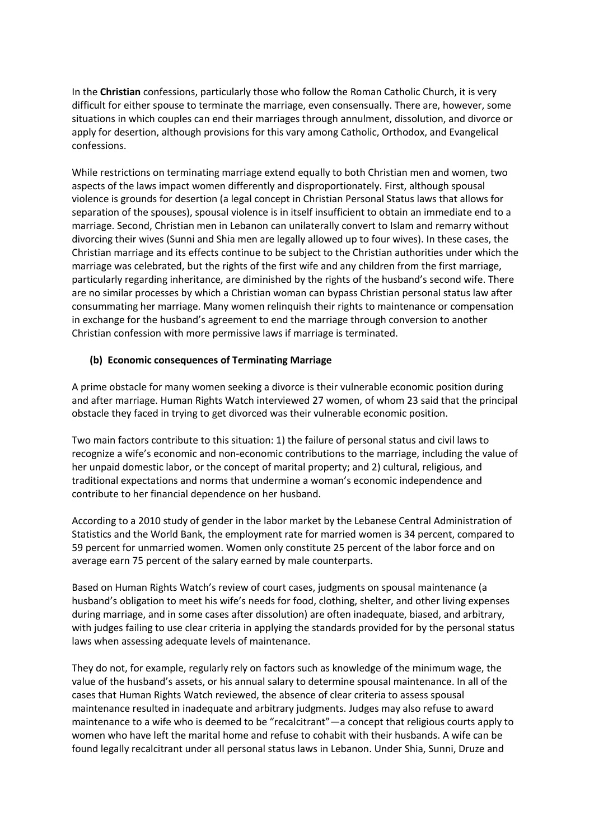In the **Christian** confessions, particularly those who follow the Roman Catholic Church, it is very difficult for either spouse to terminate the marriage, even consensually. There are, however, some situations in which couples can end their marriages through annulment, dissolution, and divorce or apply for desertion, although provisions for this vary among Catholic, Orthodox, and Evangelical confessions.

While restrictions on terminating marriage extend equally to both Christian men and women, two aspects of the laws impact women differently and disproportionately. First, although spousal violence is grounds for desertion (a legal concept in Christian Personal Status laws that allows for separation of the spouses), spousal violence is in itself insufficient to obtain an immediate end to a marriage. Second, Christian men in Lebanon can unilaterally convert to Islam and remarry without divorcing their wives (Sunni and Shia men are legally allowed up to four wives). In these cases, the Christian marriage and its effects continue to be subject to the Christian authorities under which the marriage was celebrated, but the rights of the first wife and any children from the first marriage, particularly regarding inheritance, are diminished by the rights of the husband's second wife. There are no similar processes by which a Christian woman can bypass Christian personal status law after consummating her marriage. Many women relinquish their rights to maintenance or compensation in exchange for the husband's agreement to end the marriage through conversion to another Christian confession with more permissive laws if marriage is terminated.

#### **(b) Economic consequences of Terminating Marriage**

A prime obstacle for many women seeking a divorce is their vulnerable economic position during and after marriage. Human Rights Watch interviewed 27 women, of whom 23 said that the principal obstacle they faced in trying to get divorced was their vulnerable economic position.

Two main factors contribute to this situation: 1) the failure of personal status and civil laws to recognize a wife's economic and non-economic contributions to the marriage, including the value of her unpaid domestic labor, or the concept of marital property; and 2) cultural, religious, and traditional expectations and norms that undermine a woman's economic independence and contribute to her financial dependence on her husband.

According to a 2010 study of gender in the labor market by the Lebanese Central Administration of Statistics and the World Bank, the employment rate for married women is 34 percent, compared to 59 percent for unmarried women. Women only constitute 25 percent of the labor force and on average earn 75 percent of the salary earned by male counterparts.

Based on Human Rights Watch's review of court cases, judgments on spousal maintenance (a husband's obligation to meet his wife's needs for food, clothing, shelter, and other living expenses during marriage, and in some cases after dissolution) are often inadequate, biased, and arbitrary, with judges failing to use clear criteria in applying the standards provided for by the personal status laws when assessing adequate levels of maintenance.

They do not, for example, regularly rely on factors such as knowledge of the minimum wage, the value of the husband's assets, or his annual salary to determine spousal maintenance. In all of the cases that Human Rights Watch reviewed, the absence of clear criteria to assess spousal maintenance resulted in inadequate and arbitrary judgments. Judges may also refuse to award maintenance to a wife who is deemed to be "recalcitrant"—a concept that religious courts apply to women who have left the marital home and refuse to cohabit with their husbands. A wife can be found legally recalcitrant under all personal status laws in Lebanon. Under Shia, Sunni, Druze and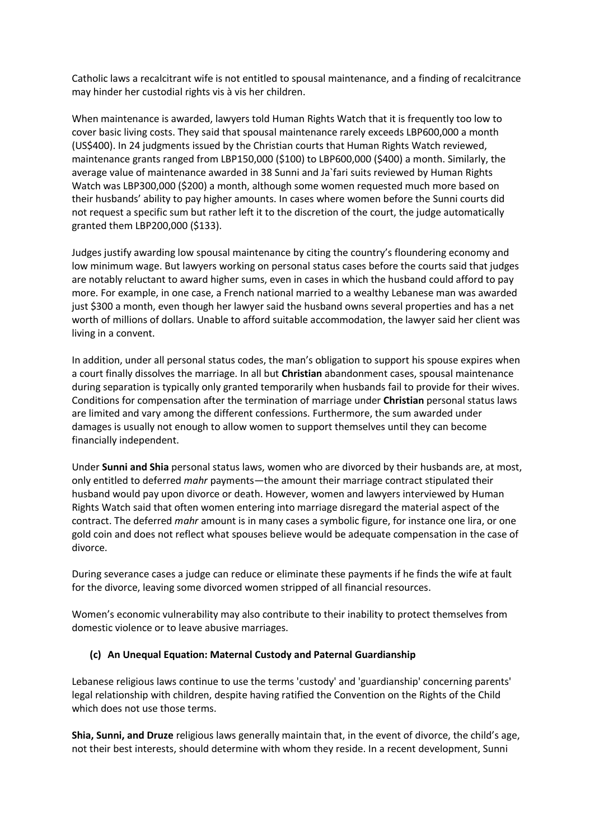Catholic laws a recalcitrant wife is not entitled to spousal maintenance, and a finding of recalcitrance may hinder her custodial rights vis à vis her children.

When maintenance is awarded, lawyers told Human Rights Watch that it is frequently too low to cover basic living costs. They said that spousal maintenance rarely exceeds LBP600,000 a month (US\$400). In 24 judgments issued by the Christian courts that Human Rights Watch reviewed, maintenance grants ranged from LBP150,000 (\$100) to LBP600,000 (\$400) a month. Similarly, the average value of maintenance awarded in 38 Sunni and Ja`fari suits reviewed by Human Rights Watch was LBP300,000 (\$200) a month, although some women requested much more based on their husbands' ability to pay higher amounts. In cases where women before the Sunni courts did not request a specific sum but rather left it to the discretion of the court, the judge automatically granted them LBP200,000 (\$133).

Judges justify awarding low spousal maintenance by citing the country's floundering economy and low minimum wage. But lawyers working on personal status cases before the courts said that judges are notably reluctant to award higher sums, even in cases in which the husband could afford to pay more. For example, in one case, a French national married to a wealthy Lebanese man was awarded just \$300 a month, even though her lawyer said the husband owns several properties and has a net worth of millions of dollars. Unable to afford suitable accommodation, the lawyer said her client was living in a convent.

In addition, under all personal status codes, the man's obligation to support his spouse expires when a court finally dissolves the marriage. In all but **Christian** abandonment cases, spousal maintenance during separation is typically only granted temporarily when husbands fail to provide for their wives. Conditions for compensation after the termination of marriage under **Christian** personal status laws are limited and vary among the different confessions. Furthermore, the sum awarded under damages is usually not enough to allow women to support themselves until they can become financially independent.

Under **Sunni and Shia** personal status laws, women who are divorced by their husbands are, at most, only entitled to deferred *mahr* payments—the amount their marriage contract stipulated their husband would pay upon divorce or death. However, women and lawyers interviewed by Human Rights Watch said that often women entering into marriage disregard the material aspect of the contract. The deferred *mahr* amount is in many cases a symbolic figure, for instance one lira, or one gold coin and does not reflect what spouses believe would be adequate compensation in the case of divorce.

During severance cases a judge can reduce or eliminate these payments if he finds the wife at fault for the divorce, leaving some divorced women stripped of all financial resources.

Women's economic vulnerability may also contribute to their inability to protect themselves from domestic violence or to leave abusive marriages.

### **(c) An Unequal Equation: Maternal Custody and Paternal Guardianship**

Lebanese religious laws continue to use the terms 'custody' and 'guardianship' concerning parents' legal relationship with children, despite having ratified the Convention on the Rights of the Child which does not use those terms.

**Shia, Sunni, and Druze** religious laws generally maintain that, in the event of divorce, the child's age, not their best interests, should determine with whom they reside. In a recent development, Sunni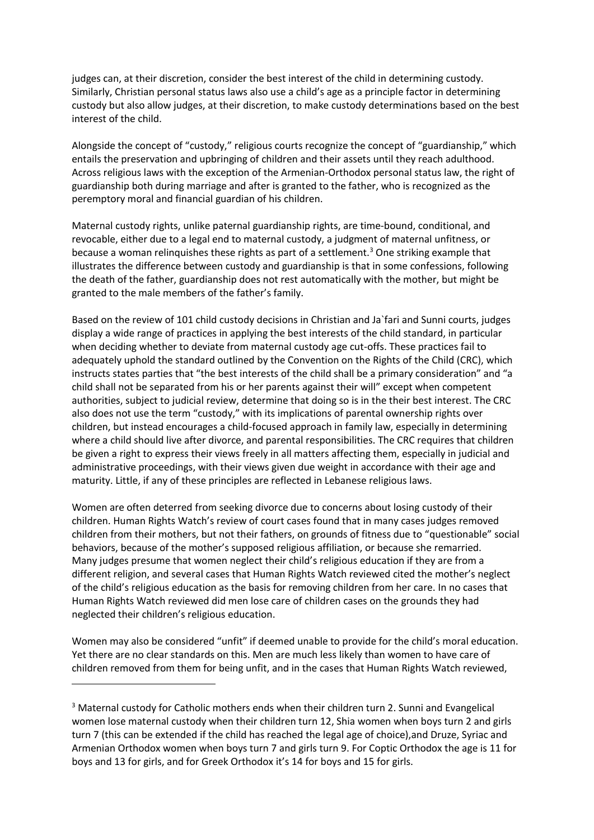judges can, at their discretion, consider the best interest of the child in determining custody. Similarly, Christian personal status laws also use a child's age as a principle factor in determining custody but also allow judges, at their discretion, to make custody determinations based on the best interest of the child.

Alongside the concept of "custody," religious courts recognize the concept of "guardianship," which entails the preservation and upbringing of children and their assets until they reach adulthood. Across religious laws with the exception of the Armenian-Orthodox personal status law, the right of guardianship both during marriage and after is granted to the father, who is recognized as the peremptory moral and financial guardian of his children.

Maternal custody rights, unlike paternal guardianship rights, are time-bound, conditional, and revocable, either due to a legal end to maternal custody, a judgment of maternal unfitness, or because a woman relinquishes these rights as part of a settlement.<sup>3</sup> One striking example that illustrates the difference between custody and guardianship is that in some confessions, following the death of the father, guardianship does not rest automatically with the mother, but might be granted to the male members of the father's family.

Based on the review of 101 child custody decisions in Christian and Ja`fari and Sunni courts, judges display a wide range of practices in applying the best interests of the child standard, in particular when deciding whether to deviate from maternal custody age cut-offs. These practices fail to adequately uphold the standard outlined by the Convention on the Rights of the Child (CRC), which instructs states parties that "the best interests of the child shall be a primary consideration" and "a child shall not be separated from his or her parents against their will" except when competent authorities, subject to judicial review, determine that doing so is in the their best interest. The CRC also does not use the term "custody," with its implications of parental ownership rights over children, but instead encourages a child-focused approach in family law, especially in determining where a child should live after divorce, and parental responsibilities. The CRC requires that children be given a right to express their views freely in all matters affecting them, especially in judicial and administrative proceedings, with their views given due weight in accordance with their age and maturity. Little, if any of these principles are reflected in Lebanese religious laws.

Women are often deterred from seeking divorce due to concerns about losing custody of their children. Human Rights Watch's review of court cases found that in many cases judges removed children from their mothers, but not their fathers, on grounds of fitness due to "questionable" social behaviors, because of the mother's supposed religious affiliation, or because she remarried. Many judges presume that women neglect their child's religious education if they are from a different religion, and several cases that Human Rights Watch reviewed cited the mother's neglect of the child's religious education as the basis for removing children from her care. In no cases that Human Rights Watch reviewed did men lose care of children cases on the grounds they had neglected their children's religious education.

Women may also be considered "unfit" if deemed unable to provide for the child's moral education. Yet there are no clear standards on this. Men are much less likely than women to have care of children removed from them for being unfit, and in the cases that Human Rights Watch reviewed,

 $\overline{\phantom{a}}$ 

<sup>&</sup>lt;sup>3</sup> Maternal custody for Catholic mothers ends when their children turn 2. Sunni and Evangelical women lose maternal custody when their children turn 12, Shia women when boys turn 2 and girls turn 7 (this can be extended if the child has reached the legal age of choice),and Druze, Syriac and Armenian Orthodox women when boys turn 7 and girls turn 9. For Coptic Orthodox the age is 11 for boys and 13 for girls, and for Greek Orthodox it's 14 for boys and 15 for girls.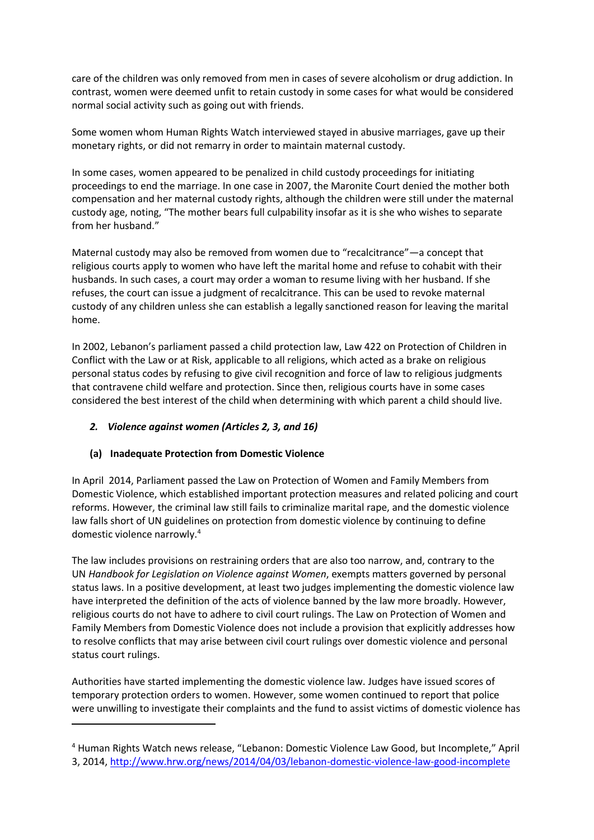care of the children was only removed from men in cases of severe alcoholism or drug addiction. In contrast, women were deemed unfit to retain custody in some cases for what would be considered normal social activity such as going out with friends.

Some women whom Human Rights Watch interviewed stayed in abusive marriages, gave up their monetary rights, or did not remarry in order to maintain maternal custody.

In some cases, women appeared to be penalized in child custody proceedings for initiating proceedings to end the marriage. In one case in 2007, the Maronite Court denied the mother both compensation and her maternal custody rights, although the children were still under the maternal custody age, noting, "The mother bears full culpability insofar as it is she who wishes to separate from her husband."

Maternal custody may also be removed from women due to "recalcitrance"—a concept that religious courts apply to women who have left the marital home and refuse to cohabit with their husbands. In such cases, a court may order a woman to resume living with her husband. If she refuses, the court can issue a judgment of recalcitrance. This can be used to revoke maternal custody of any children unless she can establish a legally sanctioned reason for leaving the marital home.

In 2002, Lebanon's parliament passed a child protection law, Law 422 on Protection of Children in Conflict with the Law or at Risk, applicable to all religions, which acted as a brake on religious personal status codes by refusing to give civil recognition and force of law to religious judgments that contravene child welfare and protection. Since then, religious courts have in some cases considered the best interest of the child when determining with which parent a child should live.

### *2. Violence against women (Articles 2, 3, and 16)*

### **(a) Inadequate Protection from Domestic Violence**

**.** 

In April 2014, Parliament passed the Law on Protection of Women and Family Members from Domestic Violence, which established important protection measures and related policing and court reforms. However, the criminal law still fails to criminalize marital rape, and the domestic violence law falls short of UN guidelines on protection from domestic violence by continuing to define domestic violence narrowly.<sup>4</sup>

The law includes provisions on restraining orders that are also too narrow, and, contrary to the UN *Handbook for Legislation on Violence against Women*, exempts matters governed by personal status laws. In a positive development, at least two judges implementing the domestic violence law have interpreted the definition of the acts of violence banned by the law more broadly. However, religious courts do not have to adhere to civil court rulings. The Law on Protection of Women and Family Members from Domestic Violence does not include a provision that explicitly addresses how to resolve conflicts that may arise between civil court rulings over domestic violence and personal status court rulings.

Authorities have started implementing the domestic violence law. Judges have issued scores of temporary protection orders to women. However, some women continued to report that police were unwilling to investigate their complaints and the fund to assist victims of domestic violence has

<sup>4</sup> Human Rights Watch news release, "Lebanon: Domestic Violence Law Good, but Incomplete," April 3, 2014,<http://www.hrw.org/news/2014/04/03/lebanon-domestic-violence-law-good-incomplete>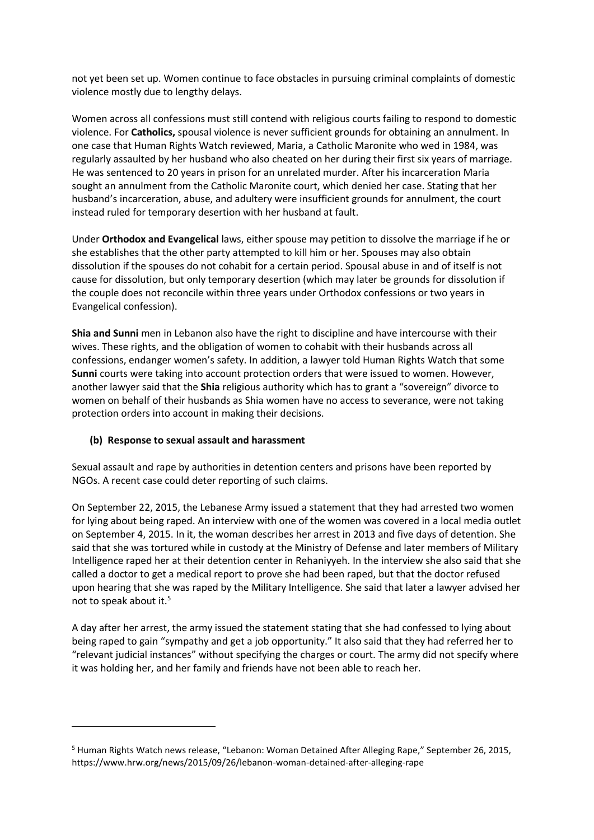not yet been set up. Women continue to face obstacles in pursuing criminal complaints of domestic violence mostly due to lengthy delays.

Women across all confessions must still contend with religious courts failing to respond to domestic violence. For **Catholics,** spousal violence is never sufficient grounds for obtaining an annulment. In one case that Human Rights Watch reviewed, Maria, a Catholic Maronite who wed in 1984, was regularly assaulted by her husband who also cheated on her during their first six years of marriage. He was sentenced to 20 years in prison for an unrelated murder. After his incarceration Maria sought an annulment from the Catholic Maronite court, which denied her case. Stating that her husband's incarceration, abuse, and adultery were insufficient grounds for annulment, the court instead ruled for temporary desertion with her husband at fault.

Under **Orthodox and Evangelical** laws, either spouse may petition to dissolve the marriage if he or she establishes that the other party attempted to kill him or her. Spouses may also obtain dissolution if the spouses do not cohabit for a certain period. Spousal abuse in and of itself is not cause for dissolution, but only temporary desertion (which may later be grounds for dissolution if the couple does not reconcile within three years under Orthodox confessions or two years in Evangelical confession).

**Shia and Sunni** men in Lebanon also have the right to discipline and have intercourse with their wives. These rights, and the obligation of women to cohabit with their husbands across all confessions, endanger women's safety. In addition, a lawyer told Human Rights Watch that some **Sunni** courts were taking into account protection orders that were issued to women. However, another lawyer said that the **Shia** religious authority which has to grant a "sovereign" divorce to women on behalf of their husbands as Shia women have no access to severance, were not taking protection orders into account in making their decisions.

### **(b) Response to sexual assault and harassment**

1

Sexual assault and rape by authorities in detention centers and prisons have been reported by NGOs. A recent case could deter reporting of such claims.

On September 22, 2015, the Lebanese Army issued a statement that they had arrested two women for lying about being raped. An interview with one of the women was covered in a local media outlet on September 4, 2015. In it, the woman describes her arrest in 2013 and five days of detention. She said that she was tortured while in custody at the Ministry of Defense and later members of Military Intelligence raped her at their detention center in Rehaniyyeh. In the interview she also said that she called a doctor to get a medical report to prove she had been raped, but that the doctor refused upon hearing that she was raped by the Military Intelligence. She said that later a lawyer advised her not to speak about it.<sup>5</sup>

A day after her arrest, the army issued the statement stating that she had confessed to lying about being raped to gain "sympathy and get a job opportunity." It also said that they had referred her to "relevant judicial instances" without specifying the charges or court. The army did not specify where it was holding her, and her family and friends have not been able to reach her.

<sup>5</sup> Human Rights Watch news release, "Lebanon: Woman Detained After Alleging Rape," September 26, 2015, https://www.hrw.org/news/2015/09/26/lebanon-woman-detained-after-alleging-rape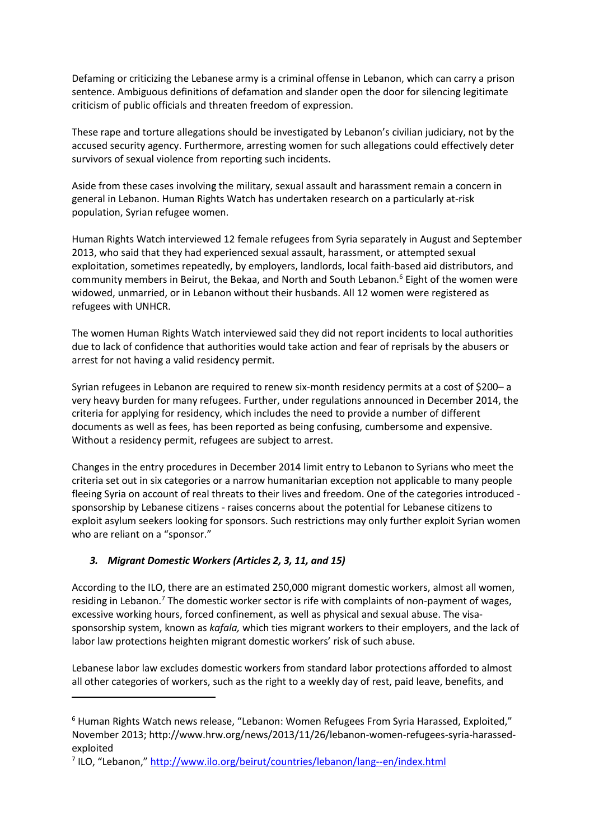Defaming or criticizing the Lebanese army is a criminal offense in Lebanon, which can carry a prison sentence. Ambiguous definitions of defamation and slander open the door for silencing legitimate criticism of public officials and threaten freedom of expression.

These rape and torture allegations should be investigated by Lebanon's civilian judiciary, not by the accused security agency. Furthermore, arresting women for such allegations could effectively deter survivors of sexual violence from reporting such incidents.

Aside from these cases involving the military, sexual assault and harassment remain a concern in general in Lebanon. Human Rights Watch has undertaken research on a particularly at-risk population, Syrian refugee women.

Human Rights Watch interviewed 12 female refugees from Syria separately in August and September 2013, who said that they had experienced sexual assault, harassment, or attempted sexual exploitation, sometimes repeatedly, by employers, landlords, local faith-based aid distributors, and community members in Beirut, the Bekaa, and North and South Lebanon. $6$  Eight of the women were widowed, unmarried, or in Lebanon without their husbands. All 12 women were registered as refugees with UNHCR.

The women Human Rights Watch interviewed said they did not report incidents to local authorities due to lack of confidence that authorities would take action and fear of reprisals by the abusers or arrest for not having a valid residency permit.

Syrian refugees in Lebanon are required to renew six-month residency permits at a cost of \$200– a very heavy burden for many refugees. Further, under regulations announced in December 2014, the criteria for applying for residency, which includes the need to provide a number of different documents as well as fees, has been reported as being confusing, cumbersome and expensive. Without a residency permit, refugees are subject to arrest.

Changes in the entry procedures in December 2014 limit entry to Lebanon to Syrians who meet the criteria set out in six categories or a narrow humanitarian exception not applicable to many people fleeing Syria on account of real threats to their lives and freedom. One of the categories introduced sponsorship by Lebanese citizens - raises concerns about the potential for Lebanese citizens to exploit asylum seekers looking for sponsors. Such restrictions may only further exploit Syrian women who are reliant on a "sponsor."

# *3. Migrant Domestic Workers (Articles 2, 3, 11, and 15)*

1

According to the ILO, there are an estimated 250,000 migrant domestic workers, almost all women, residing in Lebanon.<sup>7</sup> The domestic worker sector is rife with complaints of non-payment of wages, excessive working hours, forced confinement, as well as physical and sexual abuse. The visasponsorship system, known as *kafala,* which ties migrant workers to their employers, and the lack of labor law protections heighten migrant domestic workers' risk of such abuse.

Lebanese labor law excludes domestic workers from standard labor protections afforded to almost all other categories of workers, such as the right to a weekly day of rest, paid leave, benefits, and

<sup>&</sup>lt;sup>6</sup> Human Rights Watch news release, "Lebanon: Women Refugees From Syria Harassed, Exploited," November 2013; http://www.hrw.org/news/2013/11/26/lebanon-women-refugees-syria-harassedexploited

<sup>&</sup>lt;sup>7</sup> ILO, "Lebanon," <http://www.ilo.org/beirut/countries/lebanon/lang--en/index.html>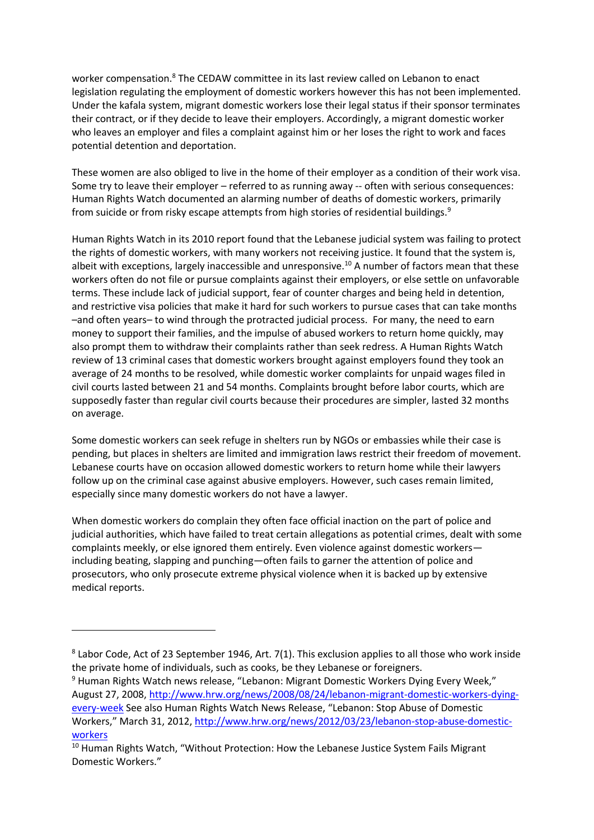worker compensation.<sup>8</sup> The CEDAW committee in its last review called on Lebanon to enact legislation regulating the employment of domestic workers however this has not been implemented. Under the kafala system, migrant domestic workers lose their legal status if their sponsor terminates their contract, or if they decide to leave their employers. Accordingly, a migrant domestic worker who leaves an employer and files a complaint against him or her loses the right to work and faces potential detention and deportation.

These women are also obliged to live in the home of their employer as a condition of their work visa. Some try to leave their employer – referred to as running away -- often with serious consequences: Human Rights Watch documented an alarming number of deaths of domestic workers, primarily from suicide or from risky escape attempts from high stories of residential buildings.<sup>9</sup>

Human Rights Watch in its 2010 report found that the Lebanese judicial system was failing to protect the rights of domestic workers, with many workers not receiving justice. It found that the system is, albeit with exceptions, largely inaccessible and unresponsive.<sup>10</sup> A number of factors mean that these workers often do not file or pursue complaints against their employers, or else settle on unfavorable terms. These include lack of judicial support, fear of counter charges and being held in detention, and restrictive visa policies that make it hard for such workers to pursue cases that can take months –and often years– to wind through the protracted judicial process. For many, the need to earn money to support their families, and the impulse of abused workers to return home quickly, may also prompt them to withdraw their complaints rather than seek redress. A Human Rights Watch review of 13 criminal cases that domestic workers brought against employers found they took an average of 24 months to be resolved, while domestic worker complaints for unpaid wages filed in civil courts lasted between 21 and 54 months. Complaints brought before labor courts, which are supposedly faster than regular civil courts because their procedures are simpler, lasted 32 months on average.

Some domestic workers can seek refuge in shelters run by NGOs or embassies while their case is pending, but places in shelters are limited and immigration laws restrict their freedom of movement. Lebanese courts have on occasion allowed domestic workers to return home while their lawyers follow up on the criminal case against abusive employers. However, such cases remain limited, especially since many domestic workers do not have a lawyer.

When domestic workers do complain they often face official inaction on the part of police and judicial authorities, which have failed to treat certain allegations as potential crimes, dealt with some complaints meekly, or else ignored them entirely. Even violence against domestic workers including beating, slapping and punching—often fails to garner the attention of police and prosecutors, who only prosecute extreme physical violence when it is backed up by extensive medical reports.

1

<sup>&</sup>lt;sup>8</sup> Labor Code, Act of 23 September 1946, Art. 7(1). This exclusion applies to all those who work inside the private home of individuals, such as cooks, be they Lebanese or foreigners.

<sup>&</sup>lt;sup>9</sup> Human Rights Watch news release, "Lebanon: Migrant Domestic Workers Dying Every Week," August 27, 2008[, http://www.hrw.org/news/2008/08/24/lebanon-migrant-domestic-workers-dying](http://www.hrw.org/news/2008/08/24/lebanon-migrant-domestic-workers-dying-every-week)[every-week](http://www.hrw.org/news/2008/08/24/lebanon-migrant-domestic-workers-dying-every-week) See also Human Rights Watch News Release, "Lebanon: Stop Abuse of Domestic Workers," March 31, 2012, [http://www.hrw.org/news/2012/03/23/lebanon-stop-abuse-domestic](http://www.hrw.org/news/2012/03/23/lebanon-stop-abuse-domestic-workers)[workers](http://www.hrw.org/news/2012/03/23/lebanon-stop-abuse-domestic-workers)

<sup>&</sup>lt;sup>10</sup> Human Rights Watch, "Without Protection: How the Lebanese Justice System Fails Migrant Domestic Workers."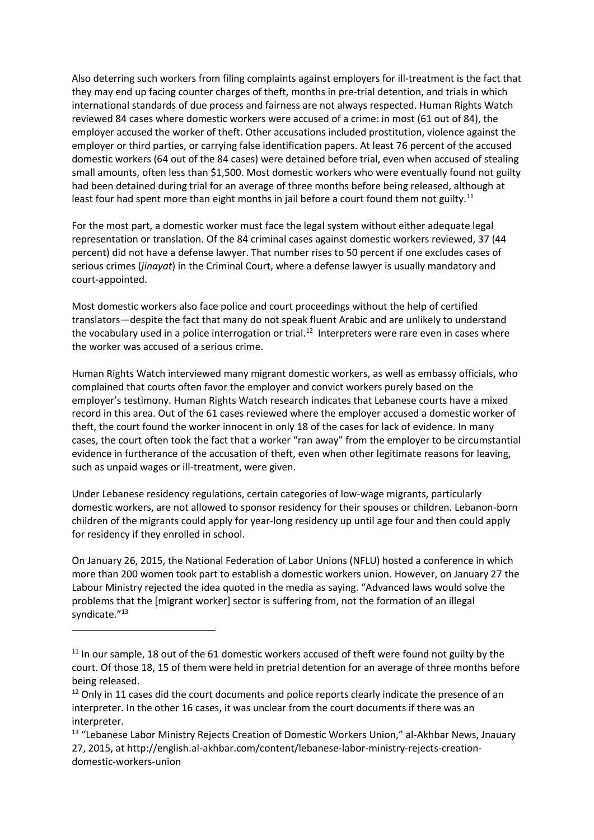Also deterring such workers from filing complaints against employers for ill-treatment is the fact that they may end up facing counter charges of theft, months in pre-trial detention, and trials in which international standards of due process and fairness are not always respected. Human Rights Watch reviewed 84 cases where domestic workers were accused of a crime: in most (61 out of 84), the employer accused the worker of theft. Other accusations included prostitution, violence against the employer or third parties, or carrying false identification papers. At least 76 percent of the accused domestic workers (64 out of the 84 cases) were detained before trial, even when accused of stealing small amounts, often less than \$1,500. Most domestic workers who were eventually found not guilty had been detained during trial for an average of three months before being released, although at least four had spent more than eight months in jail before a court found them not guilty.<sup>11</sup>

For the most part, a domestic worker must face the legal system without either adequate legal representation or translation. Of the 84 criminal cases against domestic workers reviewed, 37 (44 percent) did not have a defense lawyer. That number rises to 50 percent if one excludes cases of serious crimes (*jinayat*) in the Criminal Court, where a defense lawyer is usually mandatory and court-appointed.

Most domestic workers also face police and court proceedings without the help of certified translators—despite the fact that many do not speak fluent Arabic and are unlikely to understand the vocabulary used in a police interrogation or trial.<sup>12</sup> Interpreters were rare even in cases where the worker was accused of a serious crime.

Human Rights Watch interviewed many migrant domestic workers, as well as embassy officials, who complained that courts often favor the employer and convict workers purely based on the employer's testimony. Human Rights Watch research indicates that Lebanese courts have a mixed record in this area. Out of the 61 cases reviewed where the employer accused a domestic worker of theft, the court found the worker innocent in only 18 of the cases for lack of evidence. In many cases, the court often took the fact that a worker "ran away" from the employer to be circumstantial evidence in furtherance of the accusation of theft, even when other legitimate reasons for leaving, such as unpaid wages or ill-treatment, were given.

Under Lebanese residency regulations, certain categories of low-wage migrants, particularly domestic workers, are not allowed to sponsor residency for their spouses or children. Lebanon-born children of the migrants could apply for year-long residency up until age four and then could apply for residency if they enrolled in school.

On January 26, 2015, the National Federation of Labor Unions (NFLU) hosted a conference in which more than 200 women took part to establish a domestic workers union. However, on January 27 the Labour Ministry rejected the idea quoted in the media as saying. "Advanced laws would solve the problems that the [migrant worker] sector is suffering from, not the formation of an illegal syndicate."<sup>13</sup>

1

<sup>&</sup>lt;sup>11</sup> In our sample, 18 out of the 61 domestic workers accused of theft were found not guilty by the court. Of those 18, 15 of them were held in pretrial detention for an average of three months before being released.

 $12$  Only in 11 cases did the court documents and police reports clearly indicate the presence of an interpreter. In the other 16 cases, it was unclear from the court documents if there was an interpreter.

<sup>&</sup>lt;sup>13</sup> "Lebanese Labor Ministry Rejects Creation of Domestic Workers Union," al-Akhbar News, Jnauary 27, 2015, at http://english.al-akhbar.com/content/lebanese-labor-ministry-rejects-creationdomestic-workers-union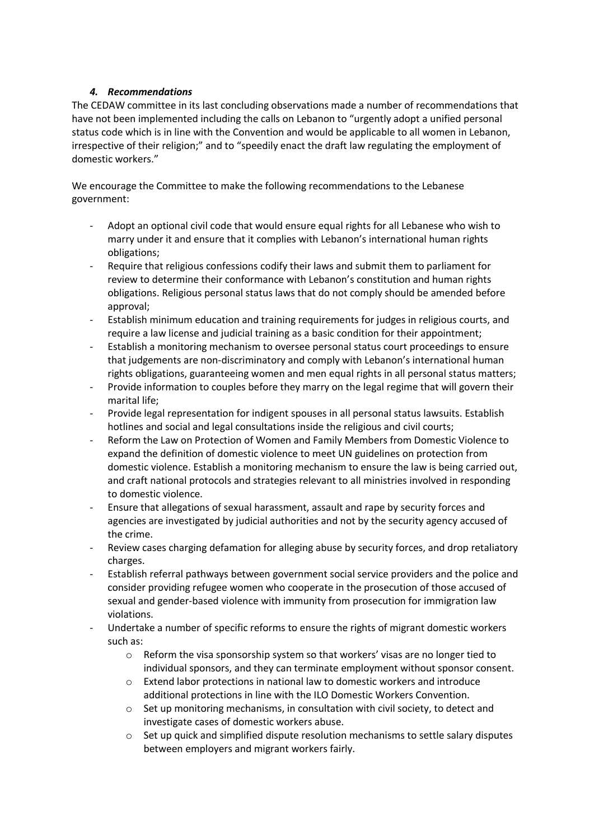# *4. Recommendations*

The CEDAW committee in its last concluding observations made a number of recommendations that have not been implemented including the calls on Lebanon to "urgently adopt a unified personal status code which is in line with the Convention and would be applicable to all women in Lebanon, irrespective of their religion;" and to "speedily enact the draft law regulating the employment of domestic workers."

We encourage the Committee to make the following recommendations to the Lebanese government:

- Adopt an optional civil code that would ensure equal rights for all Lebanese who wish to marry under it and ensure that it complies with Lebanon's international human rights obligations;
- Require that religious confessions codify their laws and submit them to parliament for review to determine their conformance with Lebanon's constitution and human rights obligations. Religious personal status laws that do not comply should be amended before approval;
- Establish minimum education and training requirements for judges in religious courts, and require a law license and judicial training as a basic condition for their appointment;
- Establish a monitoring mechanism to oversee personal status court proceedings to ensure that judgements are non-discriminatory and comply with Lebanon's international human rights obligations, guaranteeing women and men equal rights in all personal status matters;
- Provide information to couples before they marry on the legal regime that will govern their marital life;
- Provide legal representation for indigent spouses in all personal status lawsuits. Establish hotlines and social and legal consultations inside the religious and civil courts;
- Reform the Law on Protection of Women and Family Members from Domestic Violence to expand the definition of domestic violence to meet UN guidelines on protection from domestic violence. Establish a monitoring mechanism to ensure the law is being carried out, and craft national protocols and strategies relevant to all ministries involved in responding to domestic violence.
- Ensure that allegations of sexual harassment, assault and rape by security forces and agencies are investigated by judicial authorities and not by the security agency accused of the crime.
- Review cases charging defamation for alleging abuse by security forces, and drop retaliatory charges.
- Establish referral pathways between government social service providers and the police and consider providing refugee women who cooperate in the prosecution of those accused of sexual and gender-based violence with immunity from prosecution for immigration law violations.
- Undertake a number of specific reforms to ensure the rights of migrant domestic workers such as:
	- $\circ$  Reform the visa sponsorship system so that workers' visas are no longer tied to individual sponsors, and they can terminate employment without sponsor consent.
	- o Extend labor protections in national law to domestic workers and introduce additional protections in line with the ILO Domestic Workers Convention.
	- o Set up monitoring mechanisms, in consultation with civil society, to detect and investigate cases of domestic workers abuse.
	- o Set up quick and simplified dispute resolution mechanisms to settle salary disputes between employers and migrant workers fairly.